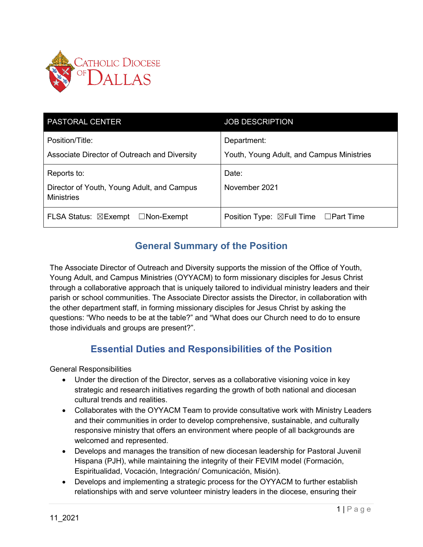

| <b>PASTORAL CENTER</b>                                                         | <b>JOB DESCRIPTION</b>                                   |
|--------------------------------------------------------------------------------|----------------------------------------------------------|
| Position/Title:<br>Associate Director of Outreach and Diversity                | Department:<br>Youth, Young Adult, and Campus Ministries |
| Reports to:<br>Director of Youth, Young Adult, and Campus<br><b>Ministries</b> | Date:<br>November 2021                                   |
| FLSA Status: ⊠Exempt<br>$\Box$ Non-Exempt                                      | Position Type: $\boxtimes$ Full Time $\Box$ Part Time    |

## **General Summary of the Position**

The Associate Director of Outreach and Diversity supports the mission of the Office of Youth, Young Adult, and Campus Ministries (OYYACM) to form missionary disciples for Jesus Christ through a collaborative approach that is uniquely tailored to individual ministry leaders and their parish or school communities. The Associate Director assists the Director, in collaboration with the other department staff, in forming missionary disciples for Jesus Christ by asking the questions: "Who needs to be at the table?" and "What does our Church need to do to ensure those individuals and groups are present?".

## **Essential Duties and Responsibilities of the Position**

General Responsibilities

- Under the direction of the Director, serves as a collaborative visioning voice in key strategic and research initiatives regarding the growth of both national and diocesan cultural trends and realities.
- Collaborates with the OYYACM Team to provide consultative work with Ministry Leaders and their communities in order to develop comprehensive, sustainable, and culturally responsive ministry that offers an environment where people of all backgrounds are welcomed and represented.
- Develops and manages the transition of new diocesan leadership for Pastoral Juvenil Hispana (PJH), while maintaining the integrity of their FEVIM model (Formación, Espiritualidad, Vocación, Integración/ Comunicación, Misión).
- Develops and implementing a strategic process for the OYYACM to further establish relationships with and serve volunteer ministry leaders in the diocese, ensuring their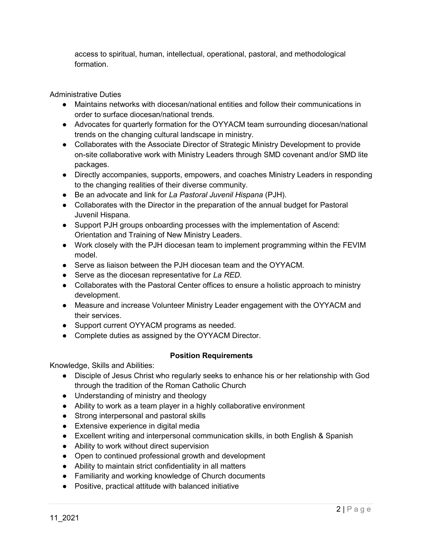access to spiritual, human, intellectual, operational, pastoral, and methodological formation.

Administrative Duties

- Maintains networks with diocesan/national entities and follow their communications in order to surface diocesan/national trends.
- Advocates for quarterly formation for the OYYACM team surrounding diocesan/national trends on the changing cultural landscape in ministry.
- Collaborates with the Associate Director of Strategic Ministry Development to provide on-site collaborative work with Ministry Leaders through SMD covenant and/or SMD lite packages.
- Directly accompanies, supports, empowers, and coaches Ministry Leaders in responding to the changing realities of their diverse community.
- Be an advocate and link for *La Pastoral Juvenil Hispana* (PJH).
- Collaborates with the Director in the preparation of the annual budget for Pastoral Juvenil Hispana.
- Support PJH groups onboarding processes with the implementation of Ascend: Orientation and Training of New Ministry Leaders.
- Work closely with the PJH diocesan team to implement programming within the FEVIM model.
- Serve as liaison between the PJH diocesan team and the OYYACM.
- Serve as the diocesan representative for *La RED.*
- Collaborates with the Pastoral Center offices to ensure a holistic approach to ministry development.
- Measure and increase Volunteer Ministry Leader engagement with the OYYACM and their services.
- Support current OYYACM programs as needed.
- Complete duties as assigned by the OYYACM Director.

## **Position Requirements**

Knowledge, Skills and Abilities:

- Disciple of Jesus Christ who regularly seeks to enhance his or her relationship with God through the tradition of the Roman Catholic Church
- Understanding of ministry and theology
- Ability to work as a team player in a highly collaborative environment
- Strong interpersonal and pastoral skills
- Extensive experience in digital media
- Excellent writing and interpersonal communication skills, in both English & Spanish
- Ability to work without direct supervision
- Open to continued professional growth and development
- Ability to maintain strict confidentiality in all matters
- Familiarity and working knowledge of Church documents
- Positive, practical attitude with balanced initiative